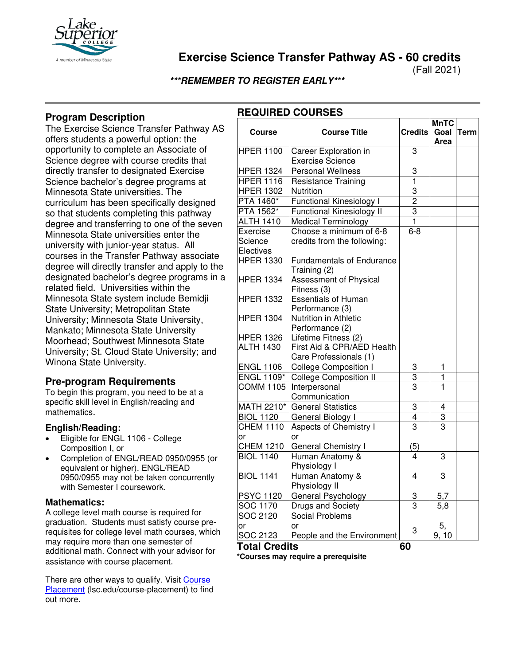

### **Exercise Science Transfer Pathway AS - 60 credits**

(Fall 2021)

**\*\*\*REMEMBER TO REGISTER EARLY\*\*\***

**REQUIRED COURSES**

### **Program Description**

The Exercise Science Transfer Pathway AS offers students a powerful option: the opportunity to complete an Associate of Science degree with course credits that directly transfer to designated Exercise Science bachelor's degree programs at Minnesota State universities. The curriculum has been specifically designed so that students completing this pathway degree and transferring to one of the seven Minnesota State universities enter the university with junior-year status. All courses in the Transfer Pathway associate degree will directly transfer and apply to the designated bachelor's degree programs in a related field. Universities within the Minnesota State system include Bemidji State University; Metropolitan State University; Minnesota State University, Mankato; Minnesota State University Moorhead; Southwest Minnesota State University; St. Cloud State University; and Winona State University.

### **Pre-program Requirements**

To begin this program, you need to be at a specific skill level in English/reading and mathematics.

#### **English/Reading:**

- Eligible for ENGL 1106 College Composition I, or
- Completion of ENGL/READ 0950/0955 (or equivalent or higher). ENGL/READ 0950/0955 may not be taken concurrently with Semester I coursework.

#### **Mathematics:**

A college level math course is required for graduation. Students must satisfy course prerequisites for college level math courses, which may require more than one semester of additional math. Connect with your advisor for assistance with course placement.

There are other ways to qualify. Visit [Course](https://www.lsc.edu/course-placement/)  [Placement](https://www.lsc.edu/course-placement/) (lsc.edu/course-placement) to find out more.

|                      |                                  |                | <b>MnTC</b>             |             |
|----------------------|----------------------------------|----------------|-------------------------|-------------|
| <b>Course</b>        | <b>Course Title</b>              | <b>Credits</b> | Goal                    | <b>Term</b> |
|                      |                                  |                | Area                    |             |
| <b>HPER 1100</b>     | Career Exploration in            | 3              |                         |             |
|                      | <b>Exercise Science</b>          |                |                         |             |
| <b>HPER 1324</b>     | <b>Personal Wellness</b>         | 3              |                         |             |
| <b>HPER 1116</b>     | <b>Resistance Training</b>       | 1              |                         |             |
| <b>HPER 1302</b>     | Nutrition                        | 3              |                         |             |
| PTA 1460*            | <b>Functional Kinesiology I</b>  | $\overline{c}$ |                         |             |
| PTA 1562*            | <b>Functional Kinesiology II</b> | $\overline{3}$ |                         |             |
| <b>ALTH 1410</b>     | <b>Medical Terminology</b>       | 1              |                         |             |
| Exercise             | Choose a minimum of 6-8          | $6 - 8$        |                         |             |
| Science              | credits from the following:      |                |                         |             |
| Electives            |                                  |                |                         |             |
| <b>HPER 1330</b>     | <b>Fundamentals of Endurance</b> |                |                         |             |
|                      | Training (2)                     |                |                         |             |
| <b>HPER 1334</b>     | <b>Assessment of Physical</b>    |                |                         |             |
|                      | Fitness (3)                      |                |                         |             |
| <b>HPER 1332</b>     | <b>Essentials of Human</b>       |                |                         |             |
|                      | Performance (3)                  |                |                         |             |
| <b>HPER 1304</b>     | Nutrition in Athletic            |                |                         |             |
|                      | Performance (2)                  |                |                         |             |
| <b>HPER 1326</b>     | Lifetime Fitness (2)             |                |                         |             |
| <b>ALTH 1430</b>     | First Aid & CPR/AED Health       |                |                         |             |
|                      | Care Professionals (1)           |                |                         |             |
| <b>ENGL 1106</b>     | <b>College Composition I</b>     | 3              | $\mathbf{1}$            |             |
| <b>ENGL 1109*</b>    | <b>College Composition II</b>    | 3              | $\overline{\mathbf{1}}$ |             |
| <b>COMM 1105</b>     | Interpersonal                    | 3              | 1                       |             |
|                      | Communication                    |                |                         |             |
| <b>MATH 2210*</b>    | <b>General Statistics</b>        | 3              | 4                       |             |
| <b>BIOL 1120</b>     | General Biology I                | 4              | $\overline{3}$          |             |
| <b>CHEM 1110</b>     | Aspects of Chemistry I           | 3              | $\overline{3}$          |             |
| or                   | or                               |                |                         |             |
| <b>CHEM 1210</b>     | General Chemistry I              | (5)            |                         |             |
| <b>BIOL 1140</b>     | Human Anatomy &                  | 4              | 3                       |             |
|                      | Physiology I                     |                |                         |             |
| <b>BIOL 1141</b>     | Human Anatomy &                  | 4              | 3                       |             |
|                      | Physiology II                    |                |                         |             |
| <b>PSYC 1120</b>     | General Psychology               | 3              | 5,7                     |             |
| SOC 1170             | Drugs and Society                | $\overline{3}$ | $\overline{5,8}$        |             |
| SOC 2120             | <b>Social Problems</b>           |                |                         |             |
| or                   | or                               | 3              | 5,                      |             |
| SOC 2123             | People and the Environment       |                | 9, 10                   |             |
| <b>Total Credits</b> |                                  | 60             |                         |             |

**\*Courses may require a prerequisite**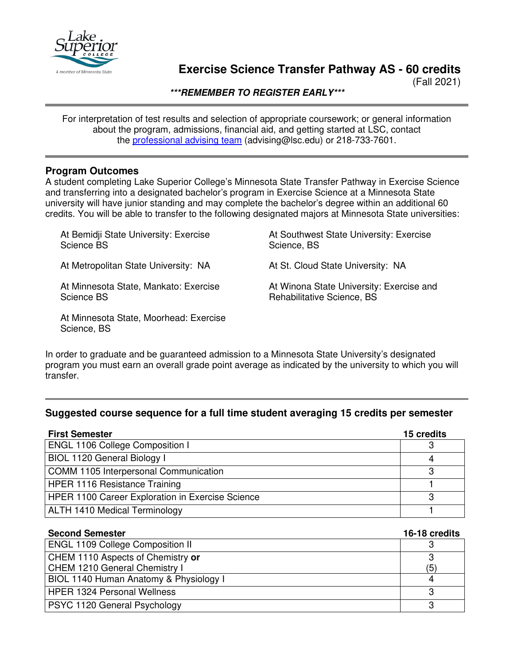

# **Exercise Science Transfer Pathway AS - 60 credits**

(Fall 2021)

**\*\*\*REMEMBER TO REGISTER EARLY\*\*\***

For interpretation of test results and selection of appropriate coursework; or general information about the program, admissions, financial aid, and getting started at LSC, contact the [professional advising team](mailto:advising@lsc.edu) (advising@lsc.edu) or 218-733-7601.

### **Program Outcomes**

Science, BS

At Minnesota State, Moorhead: Exercise

A student completing Lake Superior College's Minnesota State Transfer Pathway in Exercise Science and transferring into a designated bachelor's program in Exercise Science at a Minnesota State university will have junior standing and may complete the bachelor's degree within an additional 60 credits. You will be able to transfer to the following designated majors at Minnesota State universities:

| At Bemidji State University: Exercise | At Southwest State University: Exercise  |
|---------------------------------------|------------------------------------------|
| Science BS                            | Science, BS                              |
| At Metropolitan State University: NA  | At St. Cloud State University: NA        |
| At Minnesota State, Mankato: Exercise | At Winona State University: Exercise and |
| Science BS                            | Rehabilitative Science, BS               |

In order to graduate and be guaranteed admission to a Minnesota State University's designated program you must earn an overall grade point average as indicated by the university to which you will transfer.

### **Suggested course sequence for a full time student averaging 15 credits per semester**

| <b>First Semester</b>                                   | 15 credits |
|---------------------------------------------------------|------------|
| <b>ENGL 1106 College Composition I</b>                  | З          |
| BIOL 1120 General Biology I                             |            |
| COMM 1105 Interpersonal Communication                   | 3          |
| <b>HPER 1116 Resistance Training</b>                    |            |
| <b>HPER 1100 Career Exploration in Exercise Science</b> | 2          |
| <b>ALTH 1410 Medical Terminology</b>                    |            |

| <b>Second Semester</b>                  | 16-18 credits |
|-----------------------------------------|---------------|
| <b>ENGL 1109 College Composition II</b> |               |
| CHEM 1110 Aspects of Chemistry or       | ാ             |
| CHEM 1210 General Chemistry I           | (5)           |
| BIOL 1140 Human Anatomy & Physiology I  |               |
| <b>HPER 1324 Personal Wellness</b>      | 3             |
| PSYC 1120 General Psychology            | 3             |